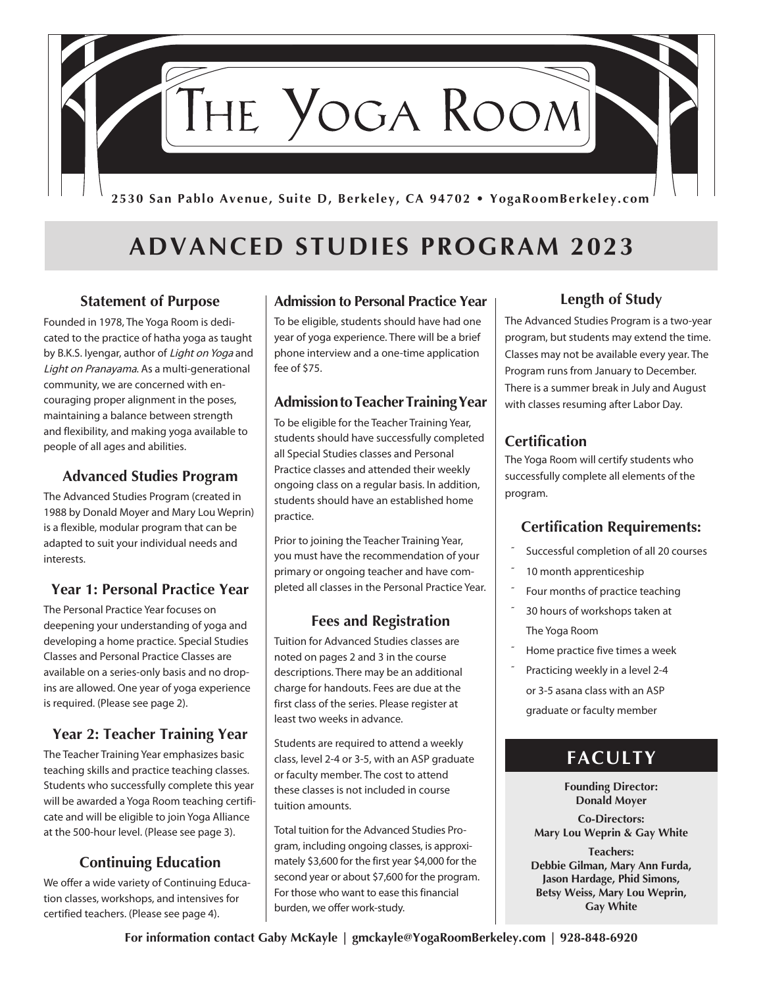

# **ADVANCED STUDIES PROGRAM 2023**

### **Statement of Purpose**

Founded in 1978, The Yoga Room is dedicated to the practice of hatha yoga as taught by B.K.S. Iyengar, author of Light on Yoga and Light on Pranayama. As a multi-generational community, we are concerned with encouraging proper alignment in the poses, maintaining a balance between strength and flexibility, and making yoga available to people of all ages and abilities.

### **Advanced Studies Program**

The Advanced Studies Program (created in 1988 by Donald Moyer and Mary Lou Weprin) is a flexible, modular program that can be adapted to suit your individual needs and interests.

### **Year 1: Personal Practice Year**

The Personal Practice Year focuses on deepening your understanding of yoga and developing a home practice. Special Studies Classes and Personal Practice Classes are available on a series-only basis and no dropins are allowed. One year of yoga experience is required. (Please see page 2).

#### **Year 2: Teacher Training Year**

The Teacher Training Year emphasizes basic teaching skills and practice teaching classes. Students who successfully complete this year will be awarded a Yoga Room teaching certificate and will be eligible to join Yoga Alliance at the 500-hour level. (Please see page 3).

### **Continuing Education**

We offer a wide variety of Continuing Education classes, workshops, and intensives for certified teachers. (Please see page 4).

### **Admission to Personal Practice Year**

To be eligible, students should have had one year of yoga experience. There will be a brief phone interview and a one-time application fee of \$75.

#### **Admission to Teacher Training Year**

To be eligible for the Teacher Training Year, students should have successfully completed all Special Studies classes and Personal Practice classes and attended their weekly ongoing class on a regular basis. In addition, students should have an established home practice.

Prior to joining the Teacher Training Year, you must have the recommendation of your primary or ongoing teacher and have completed all classes in the Personal Practice Year.

### **Fees and Registration**

Tuition for Advanced Studies classes are noted on pages 2 and 3 in the course descriptions. There may be an additional charge for handouts. Fees are due at the first class of the series. Please register at least two weeks in advance.

Students are required to attend a weekly class, level 2-4 or 3-5, with an ASP graduate or faculty member. The cost to attend these classes is not included in course tuition amounts.

Total tuition for the Advanced Studies Program, including ongoing classes, is approximately \$3,600 for the first year \$4,000 for the second year or about \$7,600 for the program. For those who want to ease this financial burden, we offer work-study.

### **Length of Study**

The Advanced Studies Program is a two-year program, but students may extend the time. Classes may not be available every year. The Program runs from January to December. There is a summer break in July and August with classes resuming after Labor Day.

### **Certification**

The Yoga Room will certify students who successfully complete all elements of the program.

### **Certification Requirements:**

- Successful completion of all 20 courses
- 10 month apprenticeship
- Four months of practice teaching
- 30 hours of workshops taken at The Yoga Room
- Home practice five times a week
- Practicing weekly in a level 2-4 or 3-5 asana class with an ASP graduate or faculty member

### **FACULTY**

**Founding Director: Donald Moyer**

**Co-Directors: Mary Lou Weprin & Gay White**

**Teachers: Debbie Gilman, Mary Ann Furda, Jason Hardage, Phid Simons, Betsy Weiss, Mary Lou Weprin, Gay White**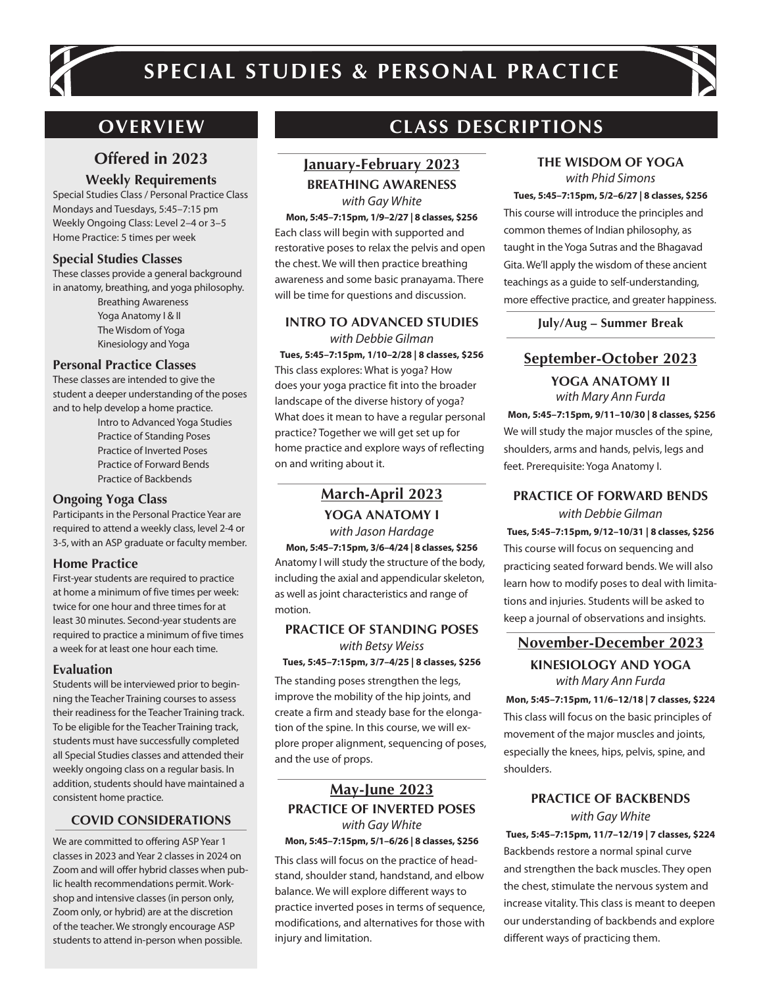

# **SPECIAL STUDIES & PERSONAL PRACTICE**

### **Offered in 2023**

**Weekly Requirements** 

Special Studies Class / Personal Practice Class Mondays and Tuesdays, 5:45–7:15 pm Weekly Ongoing Class: Level 2–4 or 3–5 Home Practice: 5 times per week

#### **Special Studies Classes**

These classes provide a general background in anatomy, breathing, and yoga philosophy.

Breathing Awareness Yoga Anatomy I & II The Wisdom of Yoga Kinesiology and Yoga

#### **Personal Practice Classes**

These classes are intended to give the student a deeper understanding of the poses and to help develop a home practice.

> Intro to Advanced Yoga Studies Practice of Standing Poses Practice of Inverted Poses Practice of Forward Bends Practice of Backbends

#### **Ongoing Yoga Class**

Participants in the Personal Practice Year are required to attend a weekly class, level 2-4 or 3-5, with an ASP graduate or faculty member.

#### **Home Practice**

First-year students are required to practice at home a minimum of five times per week: twice for one hour and three times for at least 30 minutes. Second-year students are required to practice a minimum of five times a week for at least one hour each time.

#### **Evaluation**

Students will be interviewed prior to beginning the Teacher Training courses to assess their readiness for the Teacher Training track. To be eligible for the Teacher Training track, students must have successfully completed all Special Studies classes and attended their weekly ongoing class on a regular basis. In addition, students should have maintained a consistent home practice.

#### **COVID CONSIDERATIONS**

We are committed to offering ASP Year 1 classes in 2023 and Year 2 classes in 2024 on Zoom and will offer hybrid classes when public health recommendations permit. Workshop and intensive classes (in person only, Zoom only, or hybrid) are at the discretion of the teacher. We strongly encourage ASP students to attend in-person when possible.

### **OVERVIEW CLASS DESCRIPTIONS**

### **January-February 2023**

**BREATHING AWARENESS** *with Gay White*

**Mon, 5:45–7:15pm, 1/9–2/27 | 8 classes, \$256** Each class will begin with supported and restorative poses to relax the pelvis and open the chest. We will then practice breathing awareness and some basic pranayama. There will be time for questions and discussion.

#### **INTRO TO ADVANCED STUDIES** *with Debbie Gilman*

**Tues, 5:45–7:15pm, 1/10–2/28 | 8 classes, \$256** This class explores: What is yoga? How does your yoga practice fit into the broader landscape of the diverse history of yoga? What does it mean to have a regular personal practice? Together we will get set up for home practice and explore ways of reflecting on and writing about it.

### **March-April 2023**

**YOGA ANATOMY I** *with Jason Hardage*

**Mon, 5:45–7:15pm, 3/6–4/24 | 8 classes, \$256** Anatomy I will study the structure of the body, including the axial and appendicular skeleton, as well as joint characteristics and range of motion.

#### **PRACTICE OF STANDING POSES** *with Betsy Weiss* **Tues, 5:45–7:15pm, 3/7–4/25 | 8 classes, \$256**

The standing poses strengthen the legs, improve the mobility of the hip joints, and create a firm and steady base for the elongation of the spine. In this course, we will explore proper alignment, sequencing of poses, and the use of props.

#### **May-June 2023 PRACTICE OF INVERTED POSES** *with Gay White* **Mon, 5:45–7:15pm, 5/1–6/26 | 8 classes, \$256**

This class will focus on the practice of headstand, shoulder stand, handstand, and elbow balance. We will explore different ways to practice inverted poses in terms of sequence, modifications, and alternatives for those with injury and limitation.

#### **THE WISDOM OF YOGA** *with Phid Simons*

#### **Tues, 5:45–7:15pm, 5/2–6/27 | 8 classes, \$256**

This course will introduce the principles and common themes of Indian philosophy, as taught in the Yoga Sutras and the Bhagavad Gita. We'll apply the wisdom of these ancient teachings as a guide to self-understanding, more effective practice, and greater happiness.

**July/Aug – Summer Break**

### **September-October 2023**

#### **YOGA ANATOMY II** *with Mary Ann Furda*

 **Mon, 5:45–7:15pm, 9/11–10/30 | 8 classes, \$256** We will study the major muscles of the spine, shoulders, arms and hands, pelvis, legs and feet. Prerequisite: Yoga Anatomy I.

#### **PRACTICE OF FORWARD BENDS**

*with Debbie Gilman* **Tues, 5:45–7:15pm, 9/12–10/31 | 8 classes, \$256** This course will focus on sequencing and practicing seated forward bends. We will also learn how to modify poses to deal with limitations and injuries. Students will be asked to keep a journal of observations and insights.

### **November-December 2023**

#### **KINESIOLOGY AND YOGA** *with Mary Ann Furda*

**Mon, 5:45–7:15pm, 11/6–12/18 | 7 classes, \$224** This class will focus on the basic principles of movement of the major muscles and joints, especially the knees, hips, pelvis, spine, and shoulders.

#### **PRACTICE OF BACKBENDS** *with Gay White*

**Tues, 5:45–7:15pm, 11/7–12/19 | 7 classes, \$224** Backbends restore a normal spinal curve and strengthen the back muscles. They open the chest, stimulate the nervous system and increase vitality. This class is meant to deepen our understanding of backbends and explore different ways of practicing them.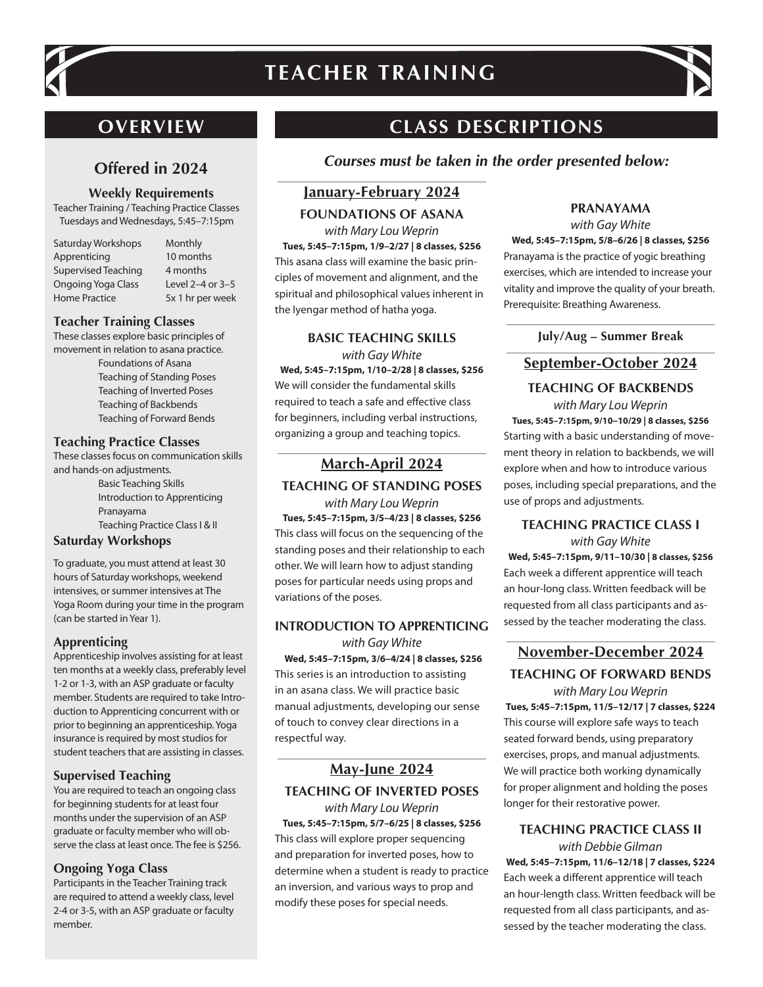

# **TEACHER TRAINING**



### **OVERVIEW**

### **Offered in 2024**

#### **Weekly Requirements**

Teacher Training / Teaching Practice Classes Tuesdays and Wednesdays, 5:45–7:15pm

| <b>Saturday Workshops</b> |
|---------------------------|
| Apprenticing              |
| Supervised Teaching       |
| <b>Ongoing Yoga Class</b> |
| <b>Home Practice</b>      |

**Monthly** 10 months 4 months Level  $2-4$  or  $3-5$ 5x 1 hr per week

#### **Teacher Training Classes**

These classes explore basic principles of movement in relation to asana practice.

Foundations of Asana Teaching of Standing Poses Teaching of Inverted Poses Teaching of Backbends Teaching of Forward Bends

#### **Teaching Practice Classes**

These classes focus on communication skills and hands-on adjustments. Basic Teaching Skills Introduction to Apprenticing Pranayama Teaching Practice Class I & II

#### **Saturday Workshops**

To graduate, you must attend at least 30 hours of Saturday workshops, weekend intensives, or summer intensives at The Yoga Room during your time in the program (can be started in Year 1).

#### **Apprenticing**

Apprenticeship involves assisting for at least ten months at a weekly class, preferably level 1-2 or 1-3, with an ASP graduate or faculty member. Students are required to take Introduction to Apprenticing concurrent with or prior to beginning an apprenticeship. Yoga insurance is required by most studios for student teachers that are assisting in classes.

#### **Supervised Teaching**

You are required to teach an ongoing class for beginning students for at least four months under the supervision of an ASP graduate or faculty member who will observe the class at least once. The fee is \$256.

#### **Ongoing Yoga Class**

Participants in the Teacher Training track are required to attend a weekly class, level 2-4 or 3-5, with an ASP graduate or faculty member.

## **CLASS DESCRIPTIONS**

**Courses must be taken in the order presented below:**

### **January-February 2024**

#### **FOUNDATIONS OF ASANA**

*with Mary Lou Weprin* **Tues, 5:45–7:15pm, 1/9–2/27 | 8 classes, \$256** This asana class will examine the basic principles of movement and alignment, and the spiritual and philosophical values inherent in the Iyengar method of hatha yoga.

### **BASIC TEACHING SKILLS**

*with Gay White* **Wed, 5:45–7:15pm, 1/10–2/28 | 8 classes, \$256** We will consider the fundamental skills required to teach a safe and effective class for beginners, including verbal instructions, organizing a group and teaching topics.

### **March-April 2024**

**TEACHING OF STANDING POSES**

*with Mary Lou Weprin* **Tues, 5:45–7:15pm, 3/5–4/23 | 8 classes, \$256** This class will focus on the sequencing of the standing poses and their relationship to each other. We will learn how to adjust standing poses for particular needs using props and variations of the poses.

### **INTRODUCTION TO APPRENTICING**

*with Gay White*  **Wed, 5:45–7:15pm, 3/6–4/24 | 8 classes, \$256** This series is an introduction to assisting in an asana class. We will practice basic manual adjustments, developing our sense of touch to convey clear directions in a respectful way.

### **May-June 2024**

**TEACHING OF INVERTED POSES** *with Mary Lou Weprin*

**Tues, 5:45–7:15pm, 5/7–6/25 | 8 classes, \$256** This class will explore proper sequencing and preparation for inverted poses, how to determine when a student is ready to practice an inversion, and various ways to prop and modify these poses for special needs.

### **PRANAYAMA**

*with Gay White*

**Wed, 5:45–7:15pm, 5/8–6/26 | 8 classes, \$256** Pranayama is the practice of yogic breathing exercises, which are intended to increase your vitality and improve the quality of your breath. Prerequisite: Breathing Awareness.

**July/Aug – Summer Break**

### **September-October 2024**

### **TEACHING OF BACKBENDS**

*with Mary Lou Weprin* **Tues, 5:45–7:15pm, 9/10–10/29 | 8 classes, \$256** Starting with a basic understanding of movement theory in relation to backbends, we will explore when and how to introduce various poses, including special preparations, and the use of props and adjustments.

#### **TEACHING PRACTICE CLASS I** *with Gay White*

**Wed, 5:45–7:15pm, 9/11–10/30 | 8 classes, \$256** Each week a different apprentice will teach an hour-long class. Written feedback will be requested from all class participants and assessed by the teacher moderating the class.

### **November-December 2024 TEACHING OF FORWARD BENDS**

*with Mary Lou Weprin* **Tues, 5:45–7:15pm, 11/5–12/17 | 7 classes, \$224** This course will explore safe ways to teach seated forward bends, using preparatory exercises, props, and manual adjustments. We will practice both working dynamically for proper alignment and holding the poses longer for their restorative power.

#### **TEACHING PRACTICE CLASS II** *with Debbie Gilman*

**Wed, 5:45–7:15pm, 11/6–12/18 | 7 classes, \$224** Each week a different apprentice will teach an hour-length class. Written feedback will be requested from all class participants, and assessed by the teacher moderating the class.